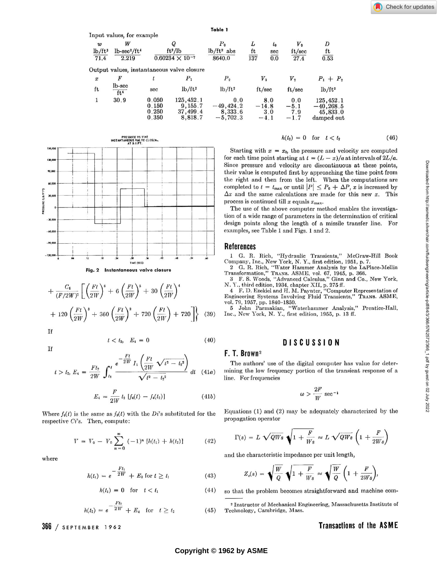|                  |                                         |                                            |                                            | Table 1                                   |                |                       |                           |                 |
|------------------|-----------------------------------------|--------------------------------------------|--------------------------------------------|-------------------------------------------|----------------|-----------------------|---------------------------|-----------------|
|                  | Input values, for example               |                                            |                                            |                                           |                |                       |                           |                 |
| $\boldsymbol{w}$ | W                                       | Q<br>$ft^2/lb$<br>$0.60234 \times 10^{-7}$ |                                            | P <sub>0</sub><br>$lb/ft^2$ abs<br>8640.0 | L<br>ft<br>137 | $t_{0}$<br>sec<br>0.0 | $V_{0}$<br>ft/sec<br>27.4 | D<br>ft<br>0.53 |
| $lb/ft^3$        | $lb$ -sec <sup>2</sup> /ft <sup>4</sup> |                                            |                                            |                                           |                |                       |                           |                 |
| 71.4             | 2.219                                   |                                            |                                            |                                           |                |                       |                           |                 |
|                  |                                         |                                            | Output values, instantaneous valve closure |                                           |                |                       |                           |                 |
| $\boldsymbol{x}$ | F                                       |                                            | $P_{1}$                                    | P <sub>2</sub>                            | $V_{1}$        |                       | $V_{2}$                   | $P_1 + P_2$     |
| ft               | lb-sec<br>$\overline{ft^4}$             | sec                                        | $lb/ft^2$                                  | $lb/ft^2$                                 | ft/sec         |                       | ft/sec                    | $lb/ft^2$       |
| 1                | 30.9                                    | 0.050                                      | 125,452.1                                  | 0.0                                       | 8.0            |                       | 0.0                       | 125,452.1       |
|                  |                                         | 0.150                                      | 9,155.7                                    | $-49,424.2$                               |                | $-14.8$               | $-5.1$                    | $-40, 268.5$    |
|                  |                                         | 0.250                                      | 37,499.4                                   | 8,333.6                                   |                | 3.0                   | 7.9                       | 45,833.0        |
|                  |                                         | 0.350                                      | 8,818.7                                    | $-5,702.3$                                |                | $-4.1$                | $-1.7$                    | damped out      |
|                  |                                         |                                            |                                            |                                           |                |                       |                           |                 |



Fig. 2 Instantaneous valve closure

$$
+\frac{C_6}{(F/2W)^{t}}\left[\left(\frac{Ft}{2W}\right)^{s}+6\left(\frac{Ft}{2W}\right)^{s}+30\left(\frac{Ft}{2W}\right)^{t}\right] +120\left(\frac{Ft}{2W}\right)^{3}+360\left(\frac{Ft}{2W}\right)^{2}+720\left(\frac{Ft}{2W}\right)+720\right]\right\}
$$
(39)

If

If

$$
t < t_2, \quad E_4 = 0 \tag{40}
$$

$$
t > t_2, E_4 = \frac{F t_2}{2W} \int_{t_2}^t \frac{e^{-\frac{F t}{2W}} I_1\left(\frac{F t}{2W} \sqrt{t^2 - t_2^2}\right)}{\sqrt{t^2 - t_2^2}} dt \quad (41a)
$$

$$
E_4 = \frac{F}{2W} t_2 [f_4(t) - f_4(t_2)] \tag{41b}
$$

Where  $f_4(t)$  is the same as  $f_3(t)$  with the Di's substituted for the respective Ci's. Then, compute:

$$
V = V_0 - V_0 \sum_{n=0}^{\infty} (-1)^n [h(t_1) + h(t_2)] \tag{42}
$$

where

$$
h(t_1) = e^{-\frac{Ft_1}{2W}} + E_3 \text{ for } t \ge t_1
$$
 (43)

$$
h(t_1) = 0 \quad \text{for} \quad t < t_1 \tag{44}
$$

$$
h(t_2) = e^{-\frac{Ft_2}{2W}} + E_4 \quad \text{for} \quad t \ge t_2 \tag{45}
$$

 $366 /$  SEPTEMBER 1962

#### $h(t_2) = 0$  for  $t < t_2$  $(46)$

Starting with  $x = x_0$ , the pressure and velocity are computed for each time point starting at  $t = (L - x)/a$  at intervals of  $2L/a$ . Since pressure and velocity are discontinuous at these points, their value is computed first by approaching the time point from the right and then from the left. When the computations are<br>completed to  $t = t_{\text{max}}$  or until  $|P| \leq P_0 + \Delta P$ , x is increased by  $\Delta x$  and the same calculations are made for this new x. This process is continued till  $x$  equals  $x_{\text{max}}$ .

The use of the above computer method enables the investigation of a wide range of parameters in the determination of critical design points along the length of a missile transfer line. For examples, see Table 1 and Figs. 1 and 2.

### **References**

1 G. R. Rich, "Hydraulic Transients," McGraw-Hill Book

Tompany, Inc., New York, N. Y., first edition, 1951, p. 7.<br>2 G. R. Rich, "Water Hammer Analysis by the LaPlace-Mellin<br>Transformation," Trans. ASME, vol. 67, 1945, p. 366.<br>3 F. S. Woods, "Advanced Calculus," Ginn and Co., N

N. Y., third edition, 1934, chapter XII, p. 275 ff.

4 F. D. Ezekiel and H. M. Paynter, "Computer Representation of Engineering Systems Involving Fluid Transients," TRANS. ASME, vol. 79, 1957, pp. 1840-1850.

5 John Parmakian, "Waterhammer Analysis," Prentice-Hall, Inc., New York, N. Y., first edition, 1955, p. 13 ff.

# **DISCUSSION**

# F. T. Brown<sup>2</sup>

The authors' use of the digital computer has value for determining the low frequency portion of the transient response of a line. For frequencies

$$
\omega > \frac{2F}{W} \sec^{-1}
$$

Equations  $(1)$  and  $(2)$  may be adequately characterized by the propagation operator

$$
\Gamma(s) = L \sqrt{QWs} \sqrt{1 + \frac{F}{Ws}} \approx L \sqrt{QWs} \left(1 + \frac{F}{2Ws}\right)
$$

and the characteristic impedance per unit length,

$$
Z_c(s) = \sqrt{\frac{W}{Q}} \sqrt{1 + \frac{F}{W_s}} \approx \sqrt{\frac{W}{Q}} \left(1 + \frac{F}{2W_s}\right),
$$

so that the problem becomes straightforward and machine com-

<sup>2</sup> Instructor of Mechanical Engineering, Massachusetts Institute of Technology, Cambridge, Mass.

# **Transactions of the ASME**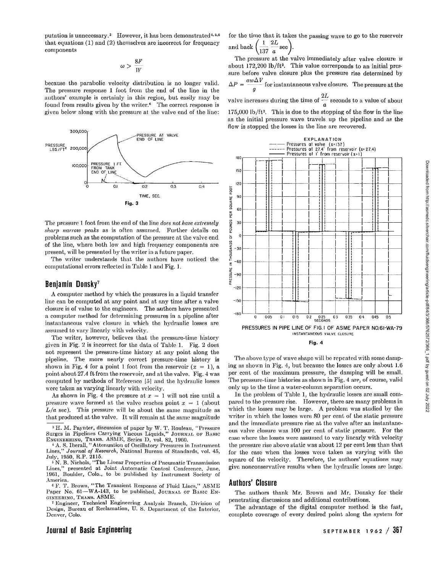putation is unnecessary.<sup>3</sup> However, it has been demonstrated<sup>4,5,6</sup> that equations (1) and (2) themselves are incorrect for frequency components

$$
\omega > \frac{8F}{W}
$$

because the parabolic velocity distribution is no longer valid. The pressure response 1 foot from the end of the line in the authors' example is certainly in this region, but easily may be found from results given by the writer.<sup>6</sup> The correct response is given below along with the pressure at the valve end of the line:



The pressure 1 foot from the end of the line *does not have extremely sharp narrow peaks* as is often assumed. Further details on problems such as the computation of the pressure at the valve end of the line, where both low and high frequency components are present, will be presented by the writer in a future paper.

The writer understands that the authors have noticed the computational errors reflected in Table 1 and Fig. 1.

## **Benjamin Donsky<sup>7</sup>**

A computer method by which the pressures in a liquid transfer line can be computed at any point and at any time after a valve closure is of value to the engineers. The authors have presented a computer method for determining pressures in a pipeline after instantaneous valve closure in which the hydraulic losses are assumed to vary linearly with velocity.

The writer, however, believes that the pressure-time history given in Fig. 2 is incorrect for the data of Table 1. Fig. 2 does not represent the pressure-time history at any point along the pipeline. The more nearly correct pressure-time history is shown in Fig. 4 for a point 1 foot from the reservoir  $(x = 1)$ , a point about 27.4 ft from the reservoir, and at the valve. Fig. 4 was computed by methods of Reference [5] and the hydraulic losses were taken as varying linearly with velocity.

As shown in Fig. 4 the pressure at  $x = 1$  will not rise until a pressure wave formed at the valve reaches point  $x = 1$  (about  $L/a$  sec). This pressure will be about the same magnitude as that produced at the valve. It will remain at the same magnitude

<sup>3</sup> H. M. Paynter, discussion of paper by W. T. Rouleau, "Pressure Surges in Pipelines Carrying Viscous Liquids," JOURNAL OF BASIC ENGINEERING, TRANS. ASME, Series D, vol. 82, 1960.

<sup>4</sup> A. S. Iberall, "Attenuation of Oscillatory Pressures in Instrument<br>Lines," Journal of Research, National Bureau of Standards, vol. 45. Journal of Research, National Bureau of Standards, vol. 45, July, 1950, R.P. 2115.

<sup>5</sup> N. B. Nichols, "The Linear Properties of Pneumatic Transmission Lines," presented at Joint Automatic Control Conference, June, 1961, Boulder, Colo., to be published by Instrument Society of America.

<sup>6</sup> F. T. Brown, "The Transient Response of Fluid Lines," ASME<br>Paper No. 61—WA-143, to be published, Journal of Basic En-GINEERING, TRANS. ASME.

<sup>7</sup> Engineer, Technical Engineering Analysis Branch, Division of Design, Bureau of Reclamation, U. S. Department of the Interior, Denver, Colo.

for the time that it takes the passing wave to go to the reservoir and back  $\left(\frac{1}{1.2} \frac{2L}{L}\right)$ 

\137 *a*  The pressure at the valve immediately after valve closure is about  $172,200$  lb/ft<sup>2</sup>. This value corresponds to an initial pressure before valve closure plus the pressure rise determined by  $\Delta P = \frac{a w \Delta V}{q}$  for instantaneous valve closure. The pressure at the valve increases during the time of  $\frac{2L}{\tau}$  seconds to a value of about

*a*   $175,000$  lb/ft<sup>2</sup>. This is due to the stopping of the flow in the line as the initial pressure wave travels up the pipeline and as the flow is stopped the losses in the line are recovered.



The above type of wave shape will be repeated with some damping as shown in Fig. 4, but because the losses are only about 1.6 per cent of the maximum pressure, the damping will be small. The pressure-time histories as shown in Fig. 4 are, of course, valid only up to the time a water-column separation occurs.

In the problem of Table 1, the hydraulic losses are small compared to the pressure rise. However, there are many problems in which the losses may be large. A problem was studied by the writer in which the losses were 80 per cent of the static pressure and the immediate pressure rise at the valve after an instantaneous valve closure was 100 per cent of static pressure. For the case where the losses were assumed to vary linearly with velocity the pressure rise above static was about 12 per cent less than that for the case when the losses were taken as varying with the square of the velocity. Therefore, the authors' equations may give nonconservative results when the hydraulic losses are large.

## **Authors' Closure**

The authors thank Mr. Brown and Mr. Donsky for their penetrating discussions and additional contributions.

The advantage of the digital computer method is the fast, complete coverage of every desired point along the system for